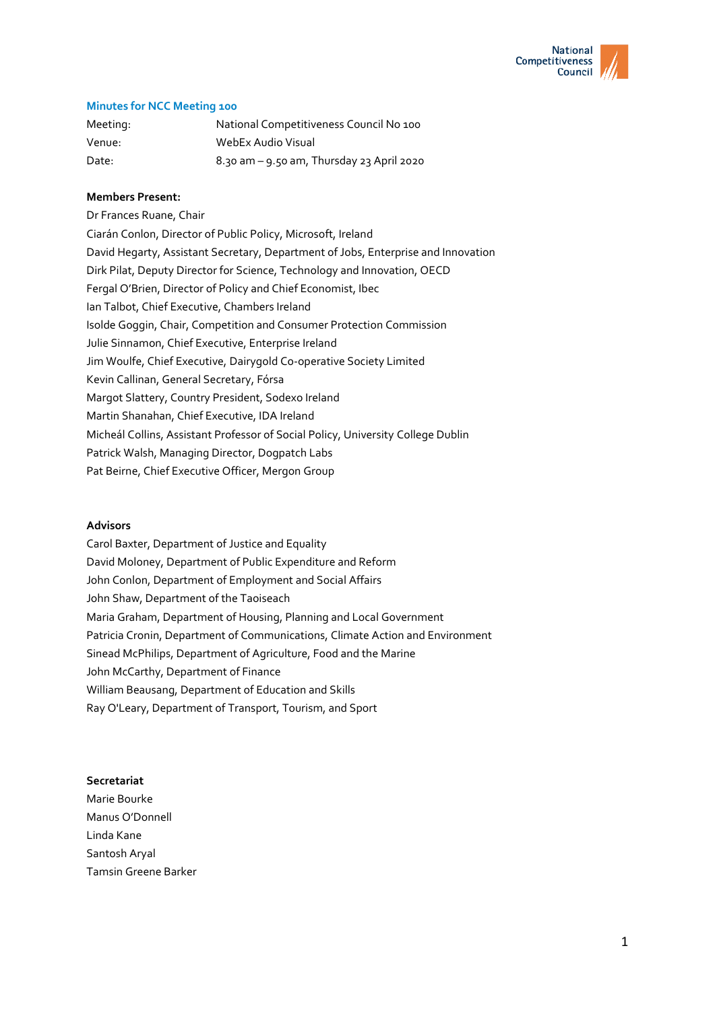

# **Minutes for NCC Meeting 100**

| Meeting: | National Competitiveness Council No 100   |
|----------|-------------------------------------------|
| Venue:   | WebEx Audio Visual                        |
| Date:    | 8.30 am - 9.50 am, Thursday 23 April 2020 |

# **Members Present:**

Dr Frances Ruane, Chair Ciarán Conlon, Director of Public Policy, Microsoft, Ireland David Hegarty, Assistant Secretary, Department of Jobs, Enterprise and Innovation Dirk Pilat, Deputy Director for Science, Technology and Innovation, OECD Fergal O'Brien, Director of Policy and Chief Economist, Ibec Ian Talbot, Chief Executive, Chambers Ireland Isolde Goggin, Chair, Competition and Consumer Protection Commission Julie Sinnamon, Chief Executive, Enterprise Ireland Jim Woulfe, Chief Executive, Dairygold Co-operative Society Limited Kevin Callinan, General Secretary, Fórsa Margot Slattery, Country President, Sodexo Ireland Martin Shanahan, Chief Executive, IDA Ireland Micheál Collins, Assistant Professor of Social Policy, University College Dublin Patrick Walsh, Managing Director, Dogpatch Labs Pat Beirne, Chief Executive Officer, Mergon Group

### **Advisors**

Carol Baxter, Department of Justice and Equality David Moloney, Department of Public Expenditure and Reform John Conlon, Department of Employment and Social Affairs John Shaw, Department of the Taoiseach Maria Graham, Department of Housing, Planning and Local Government Patricia Cronin, Department of Communications, Climate Action and Environment Sinead McPhilips, Department of Agriculture, Food and the Marine John McCarthy, Department of Finance William Beausang, Department of Education and Skills Ray O'Leary, Department of Transport, Tourism, and Sport

### **Secretariat**

Marie Bourke Manus O'Donnell Linda Kane Santosh Aryal Tamsin Greene Barker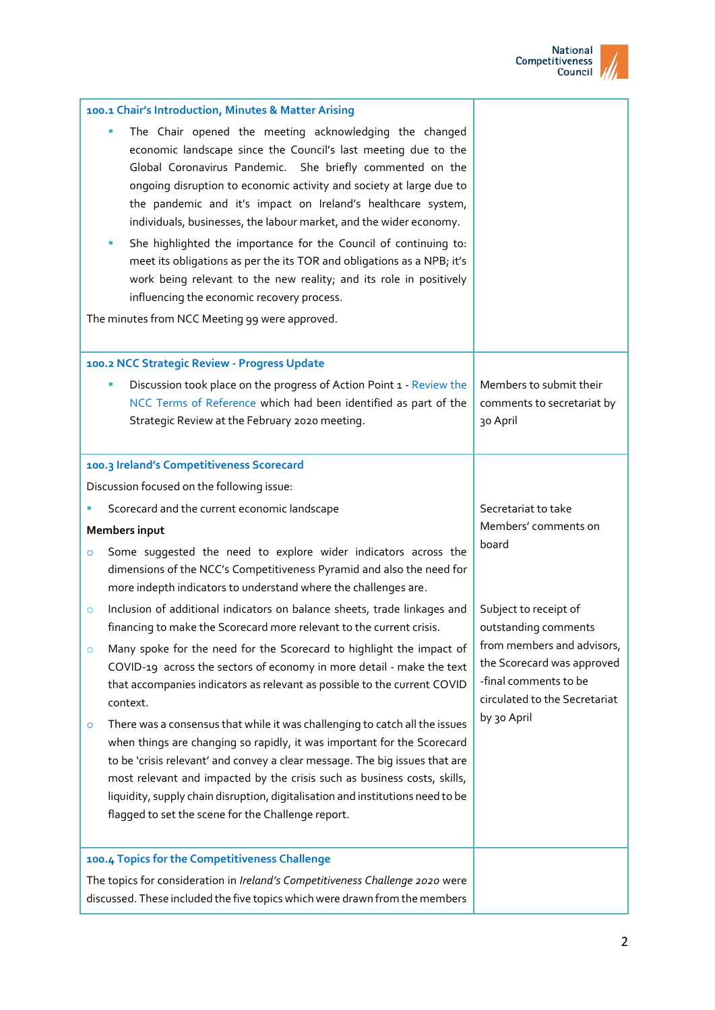

| 100.1 Chair's Introduction, Minutes & Matter Arising                                                                                                                                                                                                                                                                                                                                                                                                                                                                                                                                                                        |                                                                                                                    |
|-----------------------------------------------------------------------------------------------------------------------------------------------------------------------------------------------------------------------------------------------------------------------------------------------------------------------------------------------------------------------------------------------------------------------------------------------------------------------------------------------------------------------------------------------------------------------------------------------------------------------------|--------------------------------------------------------------------------------------------------------------------|
| The Chair opened the meeting acknowledging the changed<br>ш<br>economic landscape since the Council's last meeting due to the<br>Global Coronavirus Pandemic. She briefly commented on the<br>ongoing disruption to economic activity and society at large due to<br>the pandemic and it's impact on Ireland's healthcare system,<br>individuals, businesses, the labour market, and the wider economy.<br>She highlighted the importance for the Council of continuing to:<br>meet its obligations as per the its TOR and obligations as a NPB; it's<br>work being relevant to the new reality; and its role in positively |                                                                                                                    |
| influencing the economic recovery process.                                                                                                                                                                                                                                                                                                                                                                                                                                                                                                                                                                                  |                                                                                                                    |
| The minutes from NCC Meeting 99 were approved.                                                                                                                                                                                                                                                                                                                                                                                                                                                                                                                                                                              |                                                                                                                    |
| 100.2 NCC Strategic Review - Progress Update                                                                                                                                                                                                                                                                                                                                                                                                                                                                                                                                                                                |                                                                                                                    |
| Discussion took place on the progress of Action Point 1 - Review the<br>п<br>NCC Terms of Reference which had been identified as part of the<br>Strategic Review at the February 2020 meeting.                                                                                                                                                                                                                                                                                                                                                                                                                              | Members to submit their<br>comments to secretariat by<br>30 April                                                  |
| 100.3 Ireland's Competitiveness Scorecard                                                                                                                                                                                                                                                                                                                                                                                                                                                                                                                                                                                   |                                                                                                                    |
| Discussion focused on the following issue:                                                                                                                                                                                                                                                                                                                                                                                                                                                                                                                                                                                  |                                                                                                                    |
| Scorecard and the current economic landscape                                                                                                                                                                                                                                                                                                                                                                                                                                                                                                                                                                                | Secretariat to take                                                                                                |
| Members input                                                                                                                                                                                                                                                                                                                                                                                                                                                                                                                                                                                                               | Members' comments on<br>board                                                                                      |
| Some suggested the need to explore wider indicators across the<br>$\circ$<br>dimensions of the NCC's Competitiveness Pyramid and also the need for<br>more indepth indicators to understand where the challenges are.                                                                                                                                                                                                                                                                                                                                                                                                       |                                                                                                                    |
| Inclusion of additional indicators on balance sheets, trade linkages and<br>$\circ$<br>financing to make the Scorecard more relevant to the current crisis.                                                                                                                                                                                                                                                                                                                                                                                                                                                                 | Subject to receipt of<br>outstanding comments                                                                      |
| Many spoke for the need for the Scorecard to highlight the impact of<br>$\circ$<br>COVID-19 across the sectors of economy in more detail - make the text<br>that accompanies indicators as relevant as possible to the current COVID<br>context.                                                                                                                                                                                                                                                                                                                                                                            | from members and advisors,<br>the Scorecard was approved<br>-final comments to be<br>circulated to the Secretariat |
| There was a consensus that while it was challenging to catch all the issues<br>$\circ$<br>when things are changing so rapidly, it was important for the Scorecard<br>to be 'crisis relevant' and convey a clear message. The big issues that are<br>most relevant and impacted by the crisis such as business costs, skills,<br>liquidity, supply chain disruption, digitalisation and institutions need to be<br>flagged to set the scene for the Challenge report.                                                                                                                                                        | by 30 April                                                                                                        |
| 100.4 Topics for the Competitiveness Challenge                                                                                                                                                                                                                                                                                                                                                                                                                                                                                                                                                                              |                                                                                                                    |
| The topics for consideration in Ireland's Competitiveness Challenge 2020 were<br>discussed. These included the five topics which were drawn from the members                                                                                                                                                                                                                                                                                                                                                                                                                                                                |                                                                                                                    |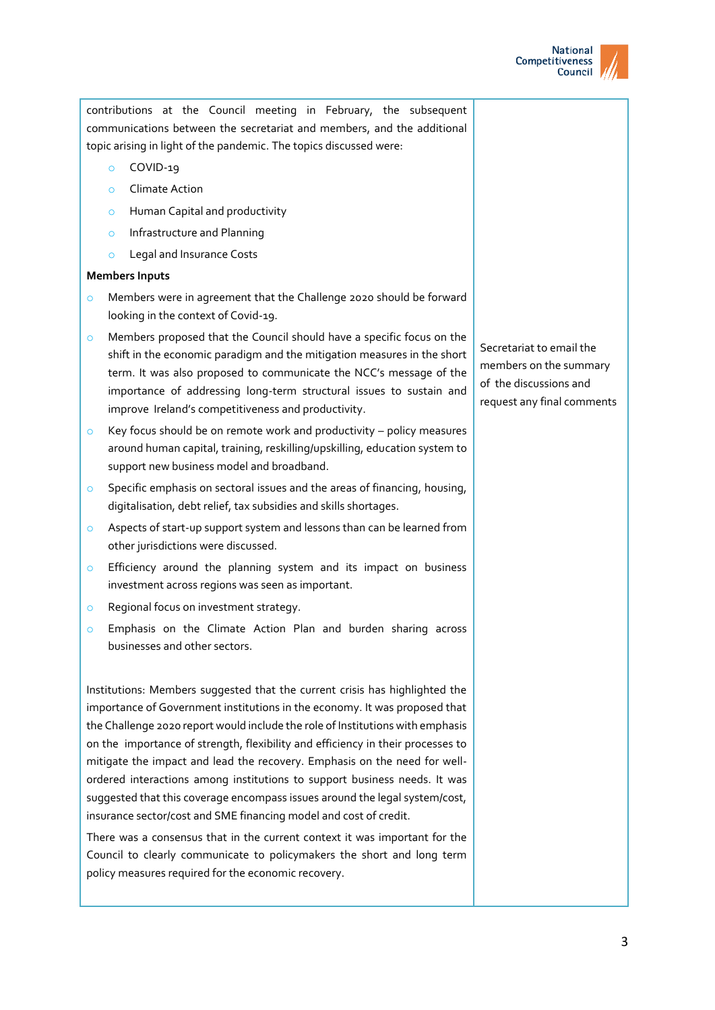

contributions at the Council meeting in February, the subsequent communications between the secretariat and members, and the additional topic arising in light of the pandemic. The topics discussed were:

- o COVID-19
- o Climate Action
- o Human Capital and productivity
- o Infrastructure and Planning
- o Legal and Insurance Costs

#### **Members Inputs**

- o Members were in agreement that the Challenge 2020 should be forward looking in the context of Covid-19.
- o Members proposed that the Council should have a specific focus on the shift in the economic paradigm and the mitigation measures in the short term. It was also proposed to communicate the NCC's message of the importance of addressing long-term structural issues to sustain and improve Ireland's competitiveness and productivity.
- o Key focus should be on remote work and productivity policy measures around human capital, training, reskilling/upskilling, education system to support new business model and broadband.
- o Specific emphasis on sectoral issues and the areas of financing, housing, digitalisation, debt relief, tax subsidies and skills shortages.
- o Aspects of start-up support system and lessons than can be learned from other jurisdictions were discussed.
- o Efficiency around the planning system and its impact on business investment across regions was seen as important.
- o Regional focus on investment strategy.
- o Emphasis on the Climate Action Plan and burden sharing across businesses and other sectors.

Institutions: Members suggested that the current crisis has highlighted the importance of Government institutions in the economy. It was proposed that the Challenge 2020 report would include the role of Institutions with emphasis on the importance of strength, flexibility and efficiency in their processes to mitigate the impact and lead the recovery. Emphasis on the need for wellordered interactions among institutions to support business needs. It was suggested that this coverage encompass issues around the legal system/cost, insurance sector/cost and SME financing model and cost of credit.

There was a consensus that in the current context it was important for the Council to clearly communicate to policymakers the short and long term policy measures required for the economic recovery.

Secretariat to email the members on the summary of the discussions and request any final comments